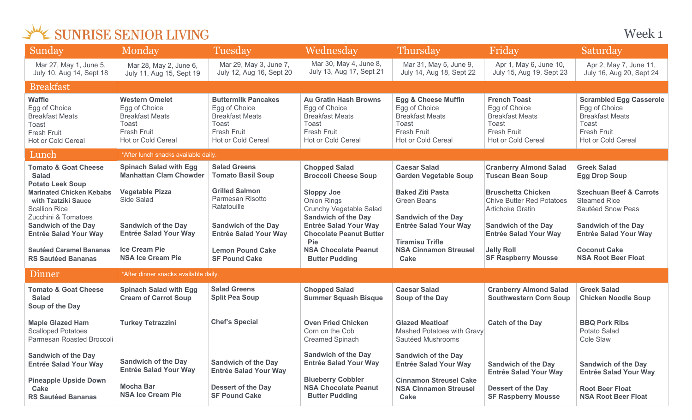| Sunday                                                                                                                           | Monday                                                                                                                       | Tuesday                                                                                                                           | Wednesday                                                                                                                           | <b>Thursday</b>                                                                                                                       | Friday                                                                                                                     | Saturday                                                                                                                              |  |
|----------------------------------------------------------------------------------------------------------------------------------|------------------------------------------------------------------------------------------------------------------------------|-----------------------------------------------------------------------------------------------------------------------------------|-------------------------------------------------------------------------------------------------------------------------------------|---------------------------------------------------------------------------------------------------------------------------------------|----------------------------------------------------------------------------------------------------------------------------|---------------------------------------------------------------------------------------------------------------------------------------|--|
| Mar 27, May 1, June 5,<br>July 10, Aug 14, Sept 18                                                                               | Mar 28, May 2, June 6,<br>July 11, Aug 15, Sept 19                                                                           | Mar 29, May 3, June 7,<br>July 12, Aug 16, Sept 20                                                                                | Mar 30, May 4, June 8,<br>July 13, Aug 17, Sept 21                                                                                  | Mar 31, May 5, June 9,<br>July 14, Aug 18, Sept 22                                                                                    | Apr 1, May 6, June 10,<br>July 15, Aug 19, Sept 23                                                                         | Apr 2, May 7, June 11,<br>July 16, Aug 20, Sept 24                                                                                    |  |
| <b>Breakfast</b>                                                                                                                 |                                                                                                                              |                                                                                                                                   |                                                                                                                                     |                                                                                                                                       |                                                                                                                            |                                                                                                                                       |  |
| <b>Waffle</b><br>Egg of Choice<br><b>Breakfast Meats</b><br><b>Toast</b><br><b>Fresh Fruit</b><br>Hot or Cold Cereal             | <b>Western Omelet</b><br>Egg of Choice<br><b>Breakfast Meats</b><br><b>Toast</b><br><b>Fresh Fruit</b><br>Hot or Cold Cereal | <b>Buttermilk Pancakes</b><br>Egg of Choice<br><b>Breakfast Meats</b><br>Toast<br><b>Fresh Fruit</b><br><b>Hot or Cold Cereal</b> | <b>Au Gratin Hash Browns</b><br>Egg of Choice<br><b>Breakfast Meats</b><br>Toast<br><b>Fresh Fruit</b><br><b>Hot or Cold Cereal</b> | <b>Egg &amp; Cheese Muffin</b><br>Egg of Choice<br><b>Breakfast Meats</b><br>Toast<br><b>Fresh Fruit</b><br><b>Hot or Cold Cereal</b> | <b>French Toast</b><br>Egg of Choice<br><b>Breakfast Meats</b><br>Toast<br><b>Fresh Fruit</b><br><b>Hot or Cold Cereal</b> | <b>Scrambled Egg Casserole</b><br>Egg of Choice<br><b>Breakfast Meats</b><br>Toast<br><b>Fresh Fruit</b><br><b>Hot or Cold Cereal</b> |  |
| Lunch                                                                                                                            | *After lunch snacks available daily.                                                                                         |                                                                                                                                   |                                                                                                                                     |                                                                                                                                       |                                                                                                                            |                                                                                                                                       |  |
| <b>Tomato &amp; Goat Cheese</b><br><b>Salad</b>                                                                                  | <b>Spinach Salad with Egg</b><br><b>Manhattan Clam Chowder</b>                                                               | <b>Salad Greens</b><br><b>Tomato Basil Soup</b>                                                                                   | <b>Chopped Salad</b><br><b>Broccoli Cheese Soup</b>                                                                                 | <b>Caesar Salad</b><br><b>Garden Vegetable Soup</b>                                                                                   | <b>Cranberry Almond Salad</b><br><b>Tuscan Bean Soup</b>                                                                   | <b>Greek Salad</b><br><b>Egg Drop Soup</b>                                                                                            |  |
| <b>Potato Leek Soup</b><br><b>Marinated Chicken Kebabs</b><br>with Tzatziki Sauce<br><b>Scallion Rice</b><br>Zucchini & Tomatoes | <b>Vegetable Pizza</b><br>Side Salad                                                                                         | <b>Grilled Salmon</b><br>Parmesan Risotto<br>Ratatouille                                                                          | <b>Sloppy Joe</b><br>Onion Rings<br><b>Crunchy Vegetable Salad</b><br><b>Sandwich of the Day</b>                                    | <b>Baked Ziti Pasta</b><br><b>Green Beans</b><br><b>Sandwich of the Day</b>                                                           | <b>Bruschetta Chicken</b><br><b>Chive Butter Red Potatoes</b><br><b>Artichoke Gratin</b>                                   | <b>Szechuan Beef &amp; Carrots</b><br><b>Steamed Rice</b><br>Sautéed Snow Peas                                                        |  |
| <b>Sandwich of the Day</b><br><b>Entrée Salad Your Way</b>                                                                       | <b>Sandwich of the Day</b><br><b>Entrée Salad Your Way</b>                                                                   | <b>Sandwich of the Day</b><br><b>Entrée Salad Your Way</b>                                                                        | <b>Entrée Salad Your Way</b><br><b>Chocolate Peanut Butter</b><br>Pie                                                               | <b>Entrée Salad Your Way</b><br><b>Tiramisu Trifle</b>                                                                                | <b>Sandwich of the Day</b><br><b>Entrée Salad Your Way</b>                                                                 | <b>Sandwich of the Day</b><br><b>Entrée Salad Your Way</b>                                                                            |  |
| <b>Sautéed Caramel Bananas</b><br><b>RS Sautéed Bananas</b>                                                                      | <b>Ice Cream Pie</b><br><b>NSA Ice Cream Pie</b>                                                                             | <b>Lemon Pound Cake</b><br><b>SF Pound Cake</b>                                                                                   | <b>NSA Chocolate Peanut</b><br><b>Butter Pudding</b>                                                                                | <b>NSA Cinnamon Streusel</b><br>Cake                                                                                                  | <b>Jelly Roll</b><br><b>SF Raspberry Mousse</b>                                                                            | <b>Coconut Cake</b><br><b>NSA Root Beer Float</b>                                                                                     |  |
| Dinner                                                                                                                           | *After dinner snacks available daily.                                                                                        |                                                                                                                                   |                                                                                                                                     |                                                                                                                                       |                                                                                                                            |                                                                                                                                       |  |
| <b>Tomato &amp; Goat Cheese</b><br><b>Salad</b><br>Soup of the Day                                                               | <b>Spinach Salad with Egg</b><br><b>Cream of Carrot Soup</b>                                                                 | <b>Salad Greens</b><br><b>Split Pea Soup</b>                                                                                      | <b>Chopped Salad</b><br><b>Summer Squash Bisque</b>                                                                                 | <b>Caesar Salad</b><br>Soup of the Day                                                                                                | <b>Cranberry Almond Salad</b><br><b>Southwestern Corn Soup</b>                                                             | <b>Greek Salad</b><br><b>Chicken Noodle Soup</b>                                                                                      |  |
| <b>Maple Glazed Ham</b><br><b>Scalloped Potatoes</b><br>Parmesan Roasted Broccoli                                                | <b>Turkey Tetrazzini</b>                                                                                                     | <b>Chef's Special</b>                                                                                                             | <b>Oven Fried Chicken</b><br>Corn on the Cob<br><b>Creamed Spinach</b>                                                              | <b>Glazed Meatloaf</b><br>Mashed Potatoes with Gravy<br>Sautéed Mushrooms                                                             | <b>Catch of the Day</b>                                                                                                    | <b>BBQ Pork Ribs</b><br>Potato Salad<br><b>Cole Slaw</b>                                                                              |  |
| <b>Sandwich of the Day</b><br><b>Entrée Salad Your Way</b>                                                                       | <b>Sandwich of the Day</b><br><b>Entrée Salad Your Way</b>                                                                   | <b>Sandwich of the Day</b><br><b>Entrée Salad Your Way</b>                                                                        | <b>Sandwich of the Day</b><br><b>Entrée Salad Your Way</b>                                                                          | <b>Sandwich of the Day</b><br><b>Entrée Salad Your Way</b>                                                                            | <b>Sandwich of the Day</b><br><b>Entrée Salad Your Way</b>                                                                 | <b>Sandwich of the Day</b><br><b>Entrée Salad Your Way</b>                                                                            |  |
| <b>Pineapple Upside Down</b><br>Cake<br><b>RS Sautéed Bananas</b>                                                                | <b>Mocha Bar</b><br><b>NSA Ice Cream Pie</b>                                                                                 | <b>Dessert of the Day</b><br><b>SF Pound Cake</b>                                                                                 | <b>Blueberry Cobbler</b><br><b>NSA Chocolate Peanut</b><br><b>Butter Pudding</b>                                                    | <b>Cinnamon Streusel Cake</b><br><b>NSA Cinnamon Streusel</b><br><b>Cake</b>                                                          | <b>Dessert of the Day</b><br><b>SF Raspberry Mousse</b>                                                                    | <b>Root Beer Float</b><br><b>NSA Root Beer Float</b>                                                                                  |  |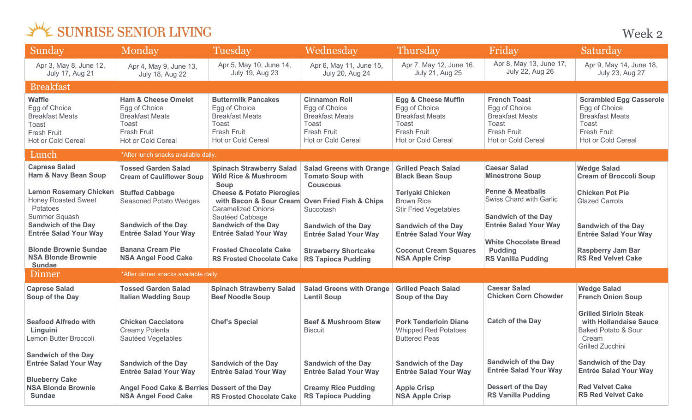Week 2

| Sunday                                                                                                        | Monday                                                                                                                         | Tuesday                                                                                                                           | Wednesday                                                                                                            | Thursday                                                                                                                       | Friday                                                                                                              | Saturday                                                                                                                              |  |
|---------------------------------------------------------------------------------------------------------------|--------------------------------------------------------------------------------------------------------------------------------|-----------------------------------------------------------------------------------------------------------------------------------|----------------------------------------------------------------------------------------------------------------------|--------------------------------------------------------------------------------------------------------------------------------|---------------------------------------------------------------------------------------------------------------------|---------------------------------------------------------------------------------------------------------------------------------------|--|
| Apr 3, May 8, June 12,<br>July 17, Aug 21                                                                     | Apr 4, May 9, June 13,<br><b>July 18, Aug 22</b>                                                                               | Apr 5, May 10, June 14,<br>July 19, Aug 23                                                                                        | Apr 6, May 11, June 15,<br>July 20, Aug 24                                                                           | Apr 7, May 12, June 16,<br>July 21, Aug 25                                                                                     | Apr 8, May 13, June 17,<br><b>July 22, Aug 26</b>                                                                   | Apr 9, May 14, June 18,<br>July 23, Aug 27                                                                                            |  |
| <b>Breakfast</b>                                                                                              |                                                                                                                                |                                                                                                                                   |                                                                                                                      |                                                                                                                                |                                                                                                                     |                                                                                                                                       |  |
| <b>Waffle</b><br>Egg of Choice<br><b>Breakfast Meats</b><br>Toast<br><b>Fresh Fruit</b><br>Hot or Cold Cereal | <b>Ham &amp; Cheese Omelet</b><br>Egg of Choice<br><b>Breakfast Meats</b><br>Toast<br><b>Fresh Fruit</b><br>Hot or Cold Cereal | <b>Buttermilk Pancakes</b><br>Egg of Choice<br><b>Breakfast Meats</b><br><b>Toast</b><br><b>Fresh Fruit</b><br>Hot or Cold Cereal | <b>Cinnamon Roll</b><br>Egg of Choice<br><b>Breakfast Meats</b><br>Toast<br><b>Fresh Fruit</b><br>Hot or Cold Cereal | <b>Egg &amp; Cheese Muffin</b><br>Egg of Choice<br><b>Breakfast Meats</b><br>Toast<br><b>Fresh Fruit</b><br>Hot or Cold Cereal | <b>French Toast</b><br>Egg of Choice<br><b>Breakfast Meats</b><br>Toast<br><b>Fresh Fruit</b><br>Hot or Cold Cereal | <b>Scrambled Egg Casserole</b><br>Egg of Choice<br><b>Breakfast Meats</b><br>Toast<br><b>Fresh Fruit</b><br><b>Hot or Cold Cereal</b> |  |
| Lunch                                                                                                         | *After lunch snacks available daily.                                                                                           |                                                                                                                                   |                                                                                                                      |                                                                                                                                |                                                                                                                     |                                                                                                                                       |  |
| <b>Caprese Salad</b><br><b>Ham &amp; Navy Bean Soup</b>                                                       | <b>Tossed Garden Salad</b><br><b>Cream of Cauliflower Soup</b>                                                                 | <b>Spinach Strawberry Salad</b><br><b>Wild Rice &amp; Mushroom</b><br>Soup                                                        | <b>Salad Greens with Orange</b><br><b>Tomato Soup with</b><br><b>Couscous</b>                                        | <b>Grilled Peach Salad</b><br><b>Black Bean Soup</b>                                                                           | <b>Caesar Salad</b><br><b>Minestrone Soup</b>                                                                       | <b>Wedge Salad</b><br><b>Cream of Broccoli Soup</b>                                                                                   |  |
| <b>Lemon Rosemary Chicken</b><br><b>Honey Roasted Sweet</b><br>Potatoes<br>Summer Squash                      | <b>Stuffed Cabbage</b><br><b>Seasoned Potato Wedges</b>                                                                        | <b>Cheese &amp; Potato Pierogies</b><br>with Bacon & Sour Cream<br><b>Caramelized Onions</b><br>Sautéed Cabbage                   | <b>Oven Fried Fish &amp; Chips</b><br>Succotash                                                                      | <b>Teriyaki Chicken</b><br><b>Brown Rice</b><br><b>Stir Fried Vegetables</b>                                                   | <b>Penne &amp; Meatballs</b><br>Swiss Chard with Garlic<br><b>Sandwich of the Day</b>                               | <b>Chicken Pot Pie</b><br><b>Glazed Carrots</b>                                                                                       |  |
| <b>Sandwich of the Day</b><br><b>Entrée Salad Your Way</b>                                                    | <b>Sandwich of the Day</b><br><b>Entrée Salad Your Way</b>                                                                     | <b>Sandwich of the Day</b><br><b>Entrée Salad Your Way</b>                                                                        | <b>Sandwich of the Day</b><br><b>Entrée Salad Your Way</b>                                                           | <b>Sandwich of the Day</b><br><b>Entrée Salad Your Way</b>                                                                     | <b>Entrée Salad Your Way</b><br><b>White Chocolate Bread</b>                                                        | <b>Sandwich of the Day</b><br><b>Entrée Salad Your Way</b>                                                                            |  |
| <b>Blonde Brownie Sundae</b><br><b>NSA Blonde Brownie</b><br><b>Sundae</b>                                    | <b>Banana Cream Pie</b><br><b>NSA Angel Food Cake</b>                                                                          | <b>Frosted Chocolate Cake</b><br><b>RS Frosted Chocolate Cake</b>                                                                 | <b>Strawberry Shortcake</b><br><b>RS Tapioca Pudding</b>                                                             | <b>Coconut Cream Squares</b><br><b>NSA Apple Crisp</b>                                                                         | <b>Pudding</b><br><b>RS Vanilla Pudding</b>                                                                         | <b>Raspberry Jam Bar</b><br><b>RS Red Velvet Cake</b>                                                                                 |  |
| Dinner                                                                                                        | *After dinner snacks available daily.                                                                                          |                                                                                                                                   |                                                                                                                      |                                                                                                                                |                                                                                                                     |                                                                                                                                       |  |
| <b>Caprese Salad</b><br>Soup of the Day                                                                       | <b>Tossed Garden Salad</b><br><b>Italian Wedding Soup</b>                                                                      | <b>Spinach Strawberry Salad</b><br><b>Beef Noodle Soup</b>                                                                        | <b>Salad Greens with Orange</b><br><b>Lentil Soup</b>                                                                | <b>Grilled Peach Salad</b><br>Soup of the Day                                                                                  | <b>Caesar Salad</b><br><b>Chicken Corn Chowder</b>                                                                  | <b>Wedge Salad</b><br><b>French Onion Soup</b>                                                                                        |  |
| <b>Seafood Alfredo with</b><br>Linguini<br>Lemon Butter Broccoli                                              | <b>Chicken Cacciatore</b><br><b>Creamy Polenta</b><br>Sautéed Vegetables                                                       | <b>Chef's Special</b>                                                                                                             | <b>Beef &amp; Mushroom Stew</b><br><b>Biscuit</b>                                                                    | <b>Pork Tenderloin Diane</b><br><b>Whipped Red Potatoes</b><br><b>Buttered Peas</b>                                            | <b>Catch of the Day</b>                                                                                             | <b>Grilled Sirloin Steak</b><br>with Hollandaise Sauce<br><b>Baked Potato &amp; Sour</b><br>Cream<br>Grilled Zucchini                 |  |
| <b>Sandwich of the Day</b><br><b>Entrée Salad Your Way</b>                                                    | <b>Sandwich of the Day</b><br><b>Entrée Salad Your Way</b>                                                                     | <b>Sandwich of the Day</b><br><b>Entrée Salad Your Way</b>                                                                        | <b>Sandwich of the Day</b><br><b>Entrée Salad Your Way</b>                                                           | <b>Sandwich of the Day</b><br><b>Entrée Salad Your Way</b>                                                                     | <b>Sandwich of the Day</b><br><b>Entrée Salad Your Way</b>                                                          | <b>Sandwich of the Day</b><br><b>Entrée Salad Your Way</b>                                                                            |  |
| <b>Blueberry Cake</b><br><b>NSA Blonde Brownie</b><br><b>Sundae</b>                                           | Angel Food Cake & Berries Dessert of the Day<br><b>NSA Angel Food Cake</b>                                                     | <b>RS Frosted Chocolate Cake</b>                                                                                                  | <b>Creamy Rice Pudding</b><br><b>RS Tapioca Pudding</b>                                                              | <b>Apple Crisp</b><br><b>NSA Apple Crisp</b>                                                                                   | <b>Dessert of the Day</b><br><b>RS Vanilla Pudding</b>                                                              | <b>Red Velvet Cake</b><br><b>RS Red Velvet Cake</b>                                                                                   |  |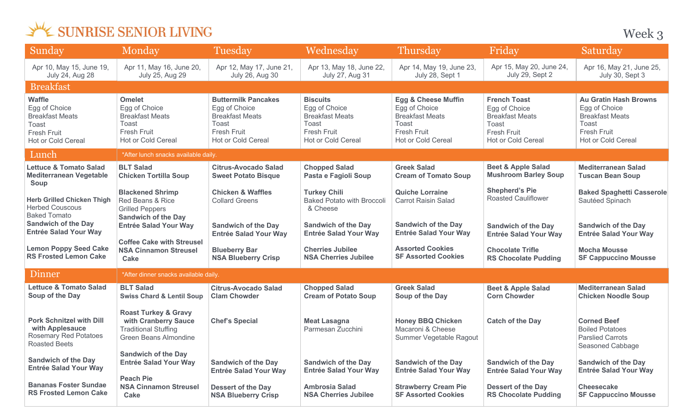Week 3

| Sunday                                                                                                                                           | Monday                                                                                                                              | Tuesday                                                                                                                    | Wednesday                                                                                                                          | Thursday                                                                                                                       | Friday                                                                                                              | Saturday                                                                                                                            |
|--------------------------------------------------------------------------------------------------------------------------------------------------|-------------------------------------------------------------------------------------------------------------------------------------|----------------------------------------------------------------------------------------------------------------------------|------------------------------------------------------------------------------------------------------------------------------------|--------------------------------------------------------------------------------------------------------------------------------|---------------------------------------------------------------------------------------------------------------------|-------------------------------------------------------------------------------------------------------------------------------------|
| Apr 10, May 15, June 19,<br><b>July 24, Aug 28</b>                                                                                               | Apr 11, May 16, June 20,<br>July 25, Aug 29                                                                                         | Apr 12, May 17, June 21,<br>July 26, Aug 30                                                                                | Apr 13, May 18, June 22,<br><b>July 27, Aug 31</b>                                                                                 | Apr 14, May 19, June 23,<br>July 28, Sept 1                                                                                    | Apr 15, May 20, June 24,<br>July 29, Sept 2                                                                         | Apr 16, May 21, June 25,<br>July 30, Sept 3                                                                                         |
| <b>Breakfast</b>                                                                                                                                 |                                                                                                                                     |                                                                                                                            |                                                                                                                                    |                                                                                                                                |                                                                                                                     |                                                                                                                                     |
| <b>Waffle</b><br>Egg of Choice<br><b>Breakfast Meats</b><br>Toast<br>Fresh Fruit<br>Hot or Cold Cereal                                           | <b>Omelet</b><br>Egg of Choice<br><b>Breakfast Meats</b><br>Toast<br>Fresh Fruit<br><b>Hot or Cold Cereal</b>                       | <b>Buttermilk Pancakes</b><br>Egg of Choice<br><b>Breakfast Meats</b><br>Toast<br><b>Fresh Fruit</b><br>Hot or Cold Cereal | <b>Biscuits</b><br>Egg of Choice<br><b>Breakfast Meats</b><br>Toast<br><b>Fresh Fruit</b><br>Hot or Cold Cereal                    | <b>Egg &amp; Cheese Muffin</b><br>Egg of Choice<br><b>Breakfast Meats</b><br><b>Toast</b><br>Fresh Fruit<br>Hot or Cold Cereal | <b>French Toast</b><br>Egg of Choice<br><b>Breakfast Meats</b><br>Toast<br><b>Fresh Fruit</b><br>Hot or Cold Cereal | <b>Au Gratin Hash Browns</b><br>Egg of Choice<br><b>Breakfast Meats</b><br>Toast<br><b>Fresh Fruit</b><br><b>Hot or Cold Cereal</b> |
| Lunch                                                                                                                                            | *After lunch snacks available daily.                                                                                                |                                                                                                                            |                                                                                                                                    |                                                                                                                                |                                                                                                                     |                                                                                                                                     |
| <b>Lettuce &amp; Tomato Salad</b><br><b>Mediterranean Vegetable</b><br>Soup                                                                      | <b>BLT Salad</b><br><b>Chicken Tortilla Soup</b>                                                                                    | <b>Citrus-Avocado Salad</b><br><b>Sweet Potato Bisque</b>                                                                  | <b>Chopped Salad</b><br>Pasta e Fagioli Soup                                                                                       | <b>Greek Salad</b><br><b>Cream of Tomato Soup</b>                                                                              | <b>Beet &amp; Apple Salad</b><br><b>Mushroom Barley Soup</b>                                                        | <b>Mediterranean Salad</b><br><b>Tuscan Bean Soup</b>                                                                               |
| <b>Herb Grilled Chicken Thigh</b><br><b>Herbed Couscous</b><br><b>Baked Tomato</b><br><b>Sandwich of the Day</b><br><b>Entrée Salad Your Way</b> | <b>Blackened Shrimp</b><br>Red Beans & Rice<br><b>Grilled Peppers</b><br><b>Sandwich of the Day</b><br><b>Entrée Salad Your Way</b> | <b>Chicken &amp; Waffles</b><br><b>Collard Greens</b><br><b>Sandwich of the Day</b><br><b>Entrée Salad Your Way</b>        | <b>Turkey Chili</b><br><b>Baked Potato with Broccoli</b><br>& Cheese<br><b>Sandwich of the Day</b><br><b>Entrée Salad Your Way</b> | <b>Quiche Lorraine</b><br><b>Carrot Raisin Salad</b><br><b>Sandwich of the Day</b><br><b>Entrée Salad Your Way</b>             | <b>Shepherd's Pie</b><br><b>Roasted Cauliflower</b><br><b>Sandwich of the Day</b><br><b>Entrée Salad Your Way</b>   | <b>Baked Spaghetti Casserole</b><br>Sautéed Spinach<br><b>Sandwich of the Day</b><br><b>Entrée Salad Your Way</b>                   |
| <b>Lemon Poppy Seed Cake</b><br><b>RS Frosted Lemon Cake</b>                                                                                     | <b>Coffee Cake with Streusel</b><br><b>NSA Cinnamon Streusel</b><br><b>Cake</b>                                                     | <b>Blueberry Bar</b><br><b>NSA Blueberry Crisp</b>                                                                         | <b>Cherries Jubilee</b><br><b>NSA Cherries Jubilee</b>                                                                             | <b>Assorted Cookies</b><br><b>SF Assorted Cookies</b>                                                                          | <b>Chocolate Trifle</b><br><b>RS Chocolate Pudding</b>                                                              | <b>Mocha Mousse</b><br><b>SF Cappuccino Mousse</b>                                                                                  |
| Dinner                                                                                                                                           | *After dinner snacks available daily.                                                                                               |                                                                                                                            |                                                                                                                                    |                                                                                                                                |                                                                                                                     |                                                                                                                                     |
| <b>Lettuce &amp; Tomato Salad</b><br>Soup of the Day                                                                                             | <b>BLT Salad</b><br><b>Swiss Chard &amp; Lentil Soup</b>                                                                            | <b>Citrus-Avocado Salad</b><br><b>Clam Chowder</b>                                                                         | <b>Chopped Salad</b><br><b>Cream of Potato Soup</b>                                                                                | <b>Greek Salad</b><br>Soup of the Day                                                                                          | <b>Beet &amp; Apple Salad</b><br><b>Corn Chowder</b>                                                                | <b>Mediterranean Salad</b><br><b>Chicken Noodle Soup</b>                                                                            |
| <b>Pork Schnitzel with Dill</b><br>with Applesauce<br><b>Rosemary Red Potatoes</b><br><b>Roasted Beets</b>                                       | <b>Roast Turkey &amp; Gravy</b><br>with Cranberry Sauce<br><b>Traditional Stuffing</b><br><b>Green Beans Almondine</b>              | <b>Chef's Special</b>                                                                                                      | <b>Meat Lasagna</b><br>Parmesan Zucchini                                                                                           | <b>Honey BBQ Chicken</b><br>Macaroni & Cheese<br>Summer Vegetable Ragout                                                       | <b>Catch of the Day</b>                                                                                             | <b>Corned Beef</b><br><b>Boiled Potatoes</b><br><b>Parslied Carrots</b><br>Seasoned Cabbage                                         |
| <b>Sandwich of the Day</b><br><b>Entrée Salad Your Way</b>                                                                                       | <b>Sandwich of the Day</b><br><b>Entrée Salad Your Way</b>                                                                          | <b>Sandwich of the Day</b><br><b>Entrée Salad Your Way</b>                                                                 | <b>Sandwich of the Day</b><br><b>Entrée Salad Your Way</b>                                                                         | <b>Sandwich of the Day</b><br><b>Entrée Salad Your Way</b>                                                                     | <b>Sandwich of the Day</b><br><b>Entrée Salad Your Way</b>                                                          | <b>Sandwich of the Day</b><br><b>Entrée Salad Your Way</b>                                                                          |
| <b>Bananas Foster Sundae</b><br><b>RS Frosted Lemon Cake</b>                                                                                     | <b>Peach Pie</b><br><b>NSA Cinnamon Streusel</b><br><b>Cake</b>                                                                     | <b>Dessert of the Day</b><br><b>NSA Blueberry Crisp</b>                                                                    | <b>Ambrosia Salad</b><br><b>NSA Cherries Jubilee</b>                                                                               | <b>Strawberry Cream Pie</b><br><b>SF Assorted Cookies</b>                                                                      | <b>Dessert of the Day</b><br><b>RS Chocolate Pudding</b>                                                            | <b>Cheesecake</b><br><b>SF Cappuccino Mousse</b>                                                                                    |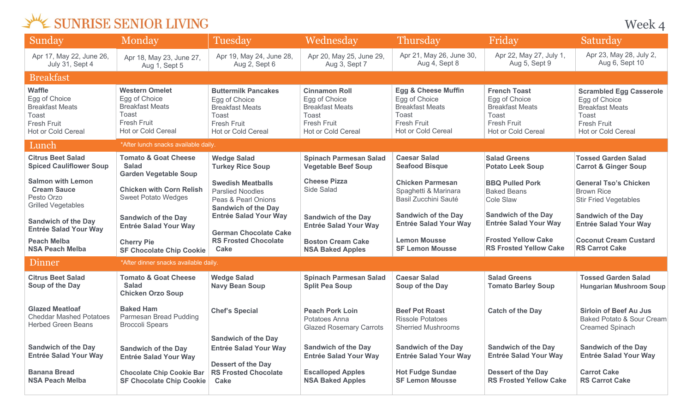Week 4

| Sunday                                                                                                        | Monday                                                                                                                | Tuesday                                                                                                                           | Wednesday                                                                                                            | <b>Thursday</b>                                                                                                                       | Friday                                                                                                                     | Saturday                                                                                                                       |
|---------------------------------------------------------------------------------------------------------------|-----------------------------------------------------------------------------------------------------------------------|-----------------------------------------------------------------------------------------------------------------------------------|----------------------------------------------------------------------------------------------------------------------|---------------------------------------------------------------------------------------------------------------------------------------|----------------------------------------------------------------------------------------------------------------------------|--------------------------------------------------------------------------------------------------------------------------------|
| Apr 17, May 22, June 26,<br>July 31, Sept 4                                                                   | Apr 18, May 23, June 27,<br>Aug 1, Sept 5                                                                             | Apr 19, May 24, June 28,<br>Aug 2, Sept 6                                                                                         | Apr 20, May 25, June 29,<br>Aug 3, Sept 7                                                                            | Apr 21, May 26, June 30,<br>Aug 4, Sept 8                                                                                             | Apr 22, May 27, July 1,<br>Aug 5, Sept 9                                                                                   | Apr 23, May 28, July 2,<br>Aug 6, Sept 10                                                                                      |
| <b>Breakfast</b>                                                                                              |                                                                                                                       |                                                                                                                                   |                                                                                                                      |                                                                                                                                       |                                                                                                                            |                                                                                                                                |
| <b>Waffle</b><br>Egg of Choice<br><b>Breakfast Meats</b><br>Toast<br><b>Fresh Fruit</b><br>Hot or Cold Cereal | <b>Western Omelet</b><br>Egg of Choice<br><b>Breakfast Meats</b><br>Toast<br>Fresh Fruit<br><b>Hot or Cold Cereal</b> | <b>Buttermilk Pancakes</b><br>Egg of Choice<br><b>Breakfast Meats</b><br>Toast<br><b>Fresh Fruit</b><br><b>Hot or Cold Cereal</b> | <b>Cinnamon Roll</b><br>Egg of Choice<br><b>Breakfast Meats</b><br>Toast<br><b>Fresh Fruit</b><br>Hot or Cold Cereal | <b>Egg &amp; Cheese Muffin</b><br>Egg of Choice<br><b>Breakfast Meats</b><br><b>Toast</b><br><b>Fresh Fruit</b><br>Hot or Cold Cereal | <b>French Toast</b><br>Egg of Choice<br><b>Breakfast Meats</b><br><b>Toast</b><br><b>Fresh Fruit</b><br>Hot or Cold Cereal | <b>Scrambled Egg Casserole</b><br>Egg of Choice<br><b>Breakfast Meats</b><br>Toast<br>Fresh Fruit<br><b>Hot or Cold Cereal</b> |
| Lunch                                                                                                         | *After lunch snacks available daily.                                                                                  |                                                                                                                                   |                                                                                                                      |                                                                                                                                       |                                                                                                                            |                                                                                                                                |
| <b>Citrus Beet Salad</b><br><b>Spiced Cauliflower Soup</b>                                                    | <b>Tomato &amp; Goat Cheese</b><br><b>Salad</b><br><b>Garden Vegetable Soup</b>                                       | <b>Wedge Salad</b><br><b>Turkey Rice Soup</b>                                                                                     | <b>Spinach Parmesan Salad</b><br><b>Vegetable Beef Soup</b>                                                          | <b>Caesar Salad</b><br><b>Seafood Bisque</b>                                                                                          | <b>Salad Greens</b><br><b>Potato Leek Soup</b>                                                                             | <b>Tossed Garden Salad</b><br><b>Carrot &amp; Ginger Soup</b>                                                                  |
| <b>Salmon with Lemon</b><br><b>Cream Sauce</b><br>Pesto Orzo<br><b>Grilled Vegetables</b>                     | <b>Chicken with Corn Relish</b><br><b>Sweet Potato Wedges</b>                                                         | <b>Swedish Meatballs</b><br><b>Parslied Noodles</b><br>Peas & Pearl Onions<br><b>Sandwich of the Day</b>                          | <b>Cheese Pizza</b><br>Side Salad                                                                                    | <b>Chicken Parmesan</b><br>Spaghetti & Marinara<br>Basil Zucchini Sauté                                                               | <b>BBQ Pulled Pork</b><br><b>Baked Beans</b><br>Cole Slaw                                                                  | <b>General Tso's Chicken</b><br><b>Brown Rice</b><br><b>Stir Fried Vegetables</b>                                              |
| <b>Sandwich of the Day</b><br><b>Entrée Salad Your Way</b>                                                    | <b>Sandwich of the Day</b><br><b>Entrée Salad Your Way</b>                                                            | <b>Entrée Salad Your Way</b><br><b>German Chocolate Cake</b>                                                                      | <b>Sandwich of the Day</b><br><b>Entrée Salad Your Way</b>                                                           | <b>Sandwich of the Day</b><br><b>Entrée Salad Your Way</b>                                                                            | <b>Sandwich of the Day</b><br><b>Entrée Salad Your Way</b>                                                                 | <b>Sandwich of the Day</b><br><b>Entrée Salad Your Way</b>                                                                     |
| <b>Peach Melba</b><br><b>NSA Peach Melba</b>                                                                  | <b>Cherry Pie</b><br><b>SF Chocolate Chip Cookie</b>                                                                  | <b>RS Frosted Chocolate</b><br><b>Cake</b>                                                                                        | <b>Boston Cream Cake</b><br><b>NSA Baked Apples</b>                                                                  | <b>Lemon Mousse</b><br><b>SF Lemon Mousse</b>                                                                                         | <b>Frosted Yellow Cake</b><br><b>RS Frosted Yellow Cake</b>                                                                | <b>Coconut Cream Custard</b><br><b>RS Carrot Cake</b>                                                                          |
| Dinner                                                                                                        | *After dinner snacks available daily.                                                                                 |                                                                                                                                   |                                                                                                                      |                                                                                                                                       |                                                                                                                            |                                                                                                                                |
| <b>Citrus Beet Salad</b><br>Soup of the Day                                                                   | <b>Tomato &amp; Goat Cheese</b><br><b>Salad</b><br><b>Chicken Orzo Soup</b>                                           | <b>Wedge Salad</b><br><b>Navy Bean Soup</b>                                                                                       | <b>Spinach Parmesan Salad</b><br><b>Split Pea Soup</b>                                                               | <b>Caesar Salad</b><br>Soup of the Day                                                                                                | <b>Salad Greens</b><br><b>Tomato Barley Soup</b>                                                                           | <b>Tossed Garden Salad</b><br><b>Hungarian Mushroom Soup</b>                                                                   |
| <b>Glazed Meatloaf</b><br><b>Cheddar Mashed Potatoes</b><br><b>Herbed Green Beans</b>                         | <b>Baked Ham</b><br>Parmesan Bread Pudding<br><b>Broccoli Spears</b>                                                  | <b>Chef's Special</b>                                                                                                             | <b>Peach Pork Loin</b><br>Potatoes Anna<br><b>Glazed Rosemary Carrots</b>                                            | <b>Beef Pot Roast</b><br><b>Rissole Potatoes</b><br><b>Sherried Mushrooms</b>                                                         | <b>Catch of the Day</b>                                                                                                    | <b>Sirloin of Beef Au Jus</b><br>Baked Potato & Sour Cream<br><b>Creamed Spinach</b>                                           |
| <b>Sandwich of the Day</b><br><b>Entrée Salad Your Way</b>                                                    | <b>Sandwich of the Day</b><br><b>Entrée Salad Your Way</b>                                                            | <b>Sandwich of the Day</b><br><b>Entrée Salad Your Way</b><br><b>Dessert of the Day</b>                                           | <b>Sandwich of the Day</b><br><b>Entrée Salad Your Way</b>                                                           | <b>Sandwich of the Day</b><br><b>Entrée Salad Your Way</b>                                                                            | <b>Sandwich of the Day</b><br><b>Entrée Salad Your Way</b>                                                                 | <b>Sandwich of the Day</b><br><b>Entrée Salad Your Way</b>                                                                     |
| <b>Banana Bread</b><br><b>NSA Peach Melba</b>                                                                 | <b>Chocolate Chip Cookie Bar</b><br><b>SF Chocolate Chip Cookie</b>                                                   | <b>RS Frosted Chocolate</b><br>Cake                                                                                               | <b>Escalloped Apples</b><br><b>NSA Baked Apples</b>                                                                  | <b>Hot Fudge Sundae</b><br><b>SF Lemon Mousse</b>                                                                                     | <b>Dessert of the Day</b><br><b>RS Frosted Yellow Cake</b>                                                                 | <b>Carrot Cake</b><br><b>RS Carrot Cake</b>                                                                                    |